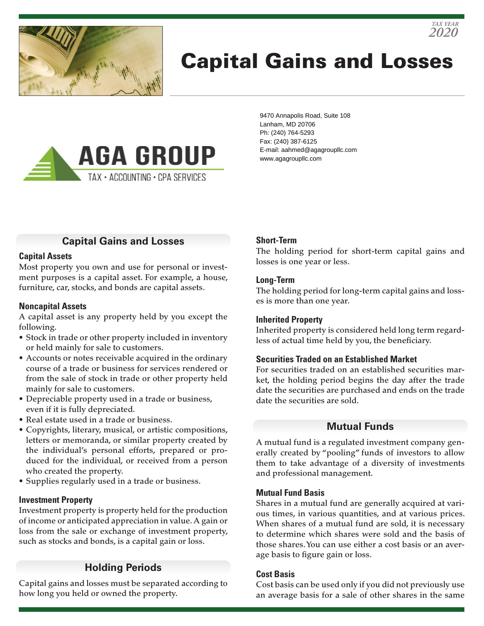

# Capital Gains and Losses



9470 Annapolis Road, Suite 108 Lanham, MD 20706 Ph: (240) 764-5293 Fax: (240) 387-6125 E-mail: aahmed@agagroupllc.com www.agagroupllc.com

## **Capital Gains and Losses**

#### **Capital Assets**

Most property you own and use for personal or investment purposes is a capital asset. For example, a house, furniture, car, stocks, and bonds are capital assets.

#### **Noncapital Assets**

A capital asset is any property held by you except the following.

- Stock in trade or other property included in inventory or held mainly for sale to customers.
- Accounts or notes receivable acquired in the ordinary course of a trade or business for services rendered or from the sale of stock in trade or other property held mainly for sale to customers.
- Depreciable property used in a trade or business, even if it is fully depreciated.
- Real estate used in a trade or business.
- Copyrights, literary, musical, or artistic compositions, letters or memoranda, or similar property created by the individual's personal efforts, prepared or produced for the individual, or received from a person who created the property.
- Supplies regularly used in a trade or business.

#### **Investment Property**

Investment property is property held for the production of income or anticipated appreciation in value. A gain or loss from the sale or exchange of investment property, such as stocks and bonds, is a capital gain or loss.

## **Holding Periods**

Capital gains and losses must be separated according to how long you held or owned the property.

#### **Short-Term**

The holding period for short-term capital gains and losses is one year or less.

*2020 TAX YEAR*

#### **Long-Term**

The holding period for long-term capital gains and losses is more than one year.

#### **Inherited Property**

Inherited property is considered held long term regardless of actual time held by you, the beneficiary.

#### **Securities Traded on an Established Market**

For securities traded on an established securities market, the holding period begins the day after the trade date the securities are purchased and ends on the trade date the securities are sold.

#### **Mutual Funds**

A mutual fund is a regulated investment company generally created by "pooling" funds of investors to allow them to take advantage of a diversity of investments and professional management.

#### **Mutual Fund Basis**

Shares in a mutual fund are generally acquired at various times, in various quantities, and at various prices. When shares of a mutual fund are sold, it is necessary to determine which shares were sold and the basis of those shares. You can use either a cost basis or an average basis to figure gain or loss.

#### **Cost Basis**

Cost basis can be used only if you did not previously use an average basis for a sale of other shares in the same